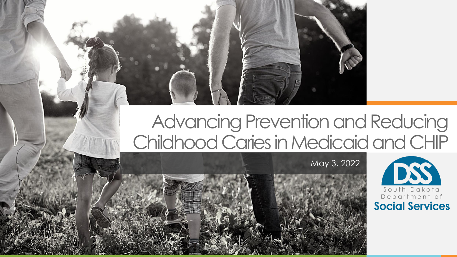## Advancing Prevention and Reducing Childhood Caries in Medicaid and CHIP

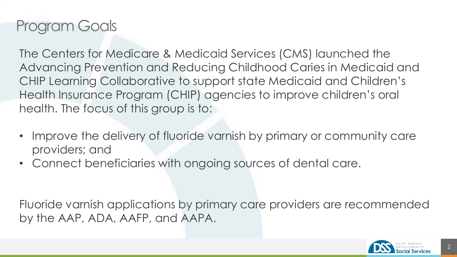## Program Goals

The Centers for Medicare & Medicaid Services (CMS) launched the Advancing Prevention and Reducing Childhood Caries in Medicaid and CHIP Learning Collaborative to support state Medicaid and Children's Health Insurance Program (CHIP) agencies to improve children's oral health. The focus of this group is to:

- Improve the delivery of fluoride varnish by primary or community care providers; and
- Connect beneficiaries with ongoing sources of dental care.

Fluoride varnish applications by primary care providers are recommended by the AAP, ADA, AAFP, and AAPA.

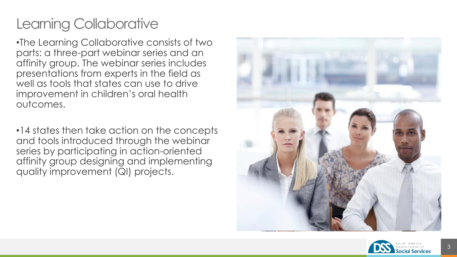## Learning Collaborative

•The Learning Collaborative consists of two parts: a three -part webinar series and an affinity group. The webinar series includes presentations from experts in the field as well as tools that states can use to drive improvement in children's oral health outcomes.

•14 states then take action on the concepts and tools introduced through the webinar series by participating in action -oriented affinity group designing and implementing quality improvement (QI) projects.



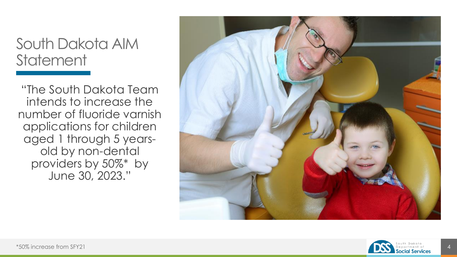### South Dakota AIM **Statement**

"The South Dakota Team intends to increase the number of fluoride varnish applications for children aged 1 through 5 years old by non -dental providers by 50%\* by June 30, 2023."



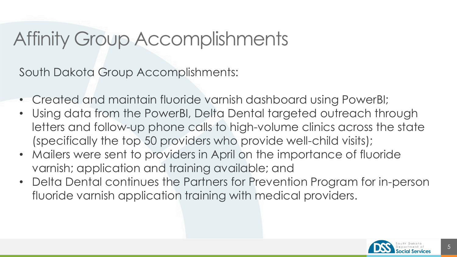## Affinity Group Accomplishments

South Dakota Group Accomplishments:

- Created and maintain fluoride varnish dashboard using PowerBI;
- Using data from the PowerBI, Delta Dental targeted outreach through letters and follow-up phone calls to high-volume clinics across the state (specifically the top 50 providers who provide well-child visits);
- Mailers were sent to providers in April on the importance of fluoride varnish; application and training available; and
- Delta Dental continues the Partners for Prevention Program for in-person fluoride varnish application training with medical providers.

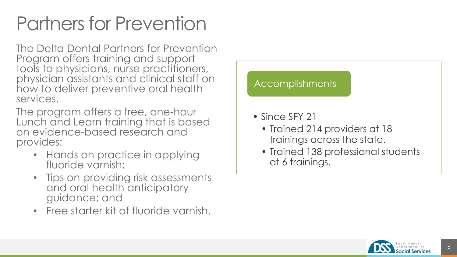# Partners for Prevention

The Delta Dental Partners for Prevention Program offers training and support tools to physicians, nurse practitioners, physician assistants and clinical staff on how to deliver preventive oral health services.

The program offers a free, one-hour Lunch and Learn training that is based on evidence-based research and provides:

- Hands on practice in applying fluoride varnish;
- Tips on providing risk assessments and oral health anticipatory guidance; and
- Free starter kit of fluoride varnish.

#### Accomplishments

- Since SFY 21
	- Trained 214 providers at 18 trainings across the state.
	- Trained 138 professional students at 6 trainings.

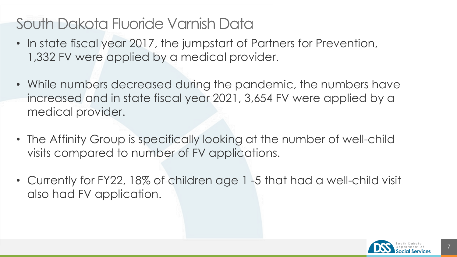## South Dakota Fluoride Varnish Data

- In state fiscal year 2017, the jumpstart of Partners for Prevention, 1,332 FV were applied by a medical provider.
- While numbers decreased during the pandemic, the numbers have increased and in state fiscal year 2021, 3,654 FV were applied by a medical provider.
- The Affinity Group is specifically looking at the number of well-child visits compared to number of FV applications.
- Currently for FY22, 18% of children age 1-5 that had a well-child visit also had FV application.